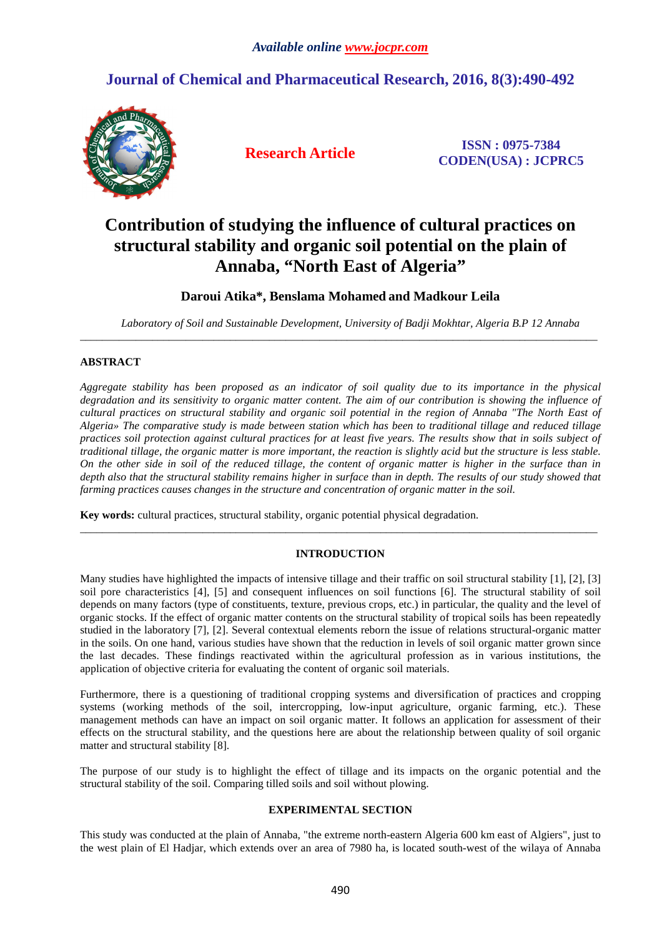## **Journal of Chemical and Pharmaceutical Research, 2016, 8(3):490-492**



**Research Article ISSN : 0975-7384 CODEN(USA) : JCPRC5**

# **Contribution of studying the influence of cultural practices on structural stability and organic soil potential on the plain of Annaba, "North East of Algeria"**

### **Daroui Atika\*, Benslama Mohamed and Madkour Leila**

\_\_\_\_\_\_\_\_\_\_\_\_\_\_\_\_\_\_\_\_\_\_\_\_\_\_\_\_\_\_\_\_\_\_\_\_\_\_\_\_\_\_\_\_\_\_\_\_\_\_\_\_\_\_\_\_\_\_\_\_\_\_\_\_\_\_\_\_\_\_\_\_\_\_\_\_\_\_\_\_\_\_\_\_\_\_\_\_\_\_\_\_\_

*Laboratory of Soil and Sustainable Development, University of Badji Mokhtar, Algeria B.P 12 Annaba* 

#### **ABSTRACT**

*Aggregate stability has been proposed as an indicator of soil quality due to its importance in the physical degradation and its sensitivity to organic matter content. The aim of our contribution is showing the influence of cultural practices on structural stability and organic soil potential in the region of Annaba "The North East of Algeria» The comparative study is made between station which has been to traditional tillage and reduced tillage practices soil protection against cultural practices for at least five years. The results show that in soils subject of traditional tillage, the organic matter is more important, the reaction is slightly acid but the structure is less stable. On the other side in soil of the reduced tillage, the content of organic matter is higher in the surface than in depth also that the structural stability remains higher in surface than in depth. The results of our study showed that farming practices causes changes in the structure and concentration of organic matter in the soil.* 

**Key words:** cultural practices, structural stability, organic potential physical degradation.

#### **INTRODUCTION**

\_\_\_\_\_\_\_\_\_\_\_\_\_\_\_\_\_\_\_\_\_\_\_\_\_\_\_\_\_\_\_\_\_\_\_\_\_\_\_\_\_\_\_\_\_\_\_\_\_\_\_\_\_\_\_\_\_\_\_\_\_\_\_\_\_\_\_\_\_\_\_\_\_\_\_\_\_\_\_\_\_\_\_\_\_\_\_\_\_\_\_\_\_

Many studies have highlighted the impacts of intensive tillage and their traffic on soil structural stability [1], [2], [3] soil pore characteristics [4], [5] and consequent influences on soil functions [6]. The structural stability of soil depends on many factors (type of constituents, texture, previous crops, etc.) in particular, the quality and the level of organic stocks. If the effect of organic matter contents on the structural stability of tropical soils has been repeatedly studied in the laboratory [7], [2]. Several contextual elements reborn the issue of relations structural-organic matter in the soils. On one hand, various studies have shown that the reduction in levels of soil organic matter grown since the last decades. These findings reactivated within the agricultural profession as in various institutions, the application of objective criteria for evaluating the content of organic soil materials.

Furthermore, there is a questioning of traditional cropping systems and diversification of practices and cropping systems (working methods of the soil, intercropping, low-input agriculture, organic farming, etc.). These management methods can have an impact on soil organic matter. It follows an application for assessment of their effects on the structural stability, and the questions here are about the relationship between quality of soil organic matter and structural stability [8].

The purpose of our study is to highlight the effect of tillage and its impacts on the organic potential and the structural stability of the soil. Comparing tilled soils and soil without plowing.

#### **EXPERIMENTAL SECTION**

This study was conducted at the plain of Annaba, "the extreme north-eastern Algeria 600 km east of Algiers", just to the west plain of El Hadjar, which extends over an area of 7980 ha, is located south-west of the wilaya of Annaba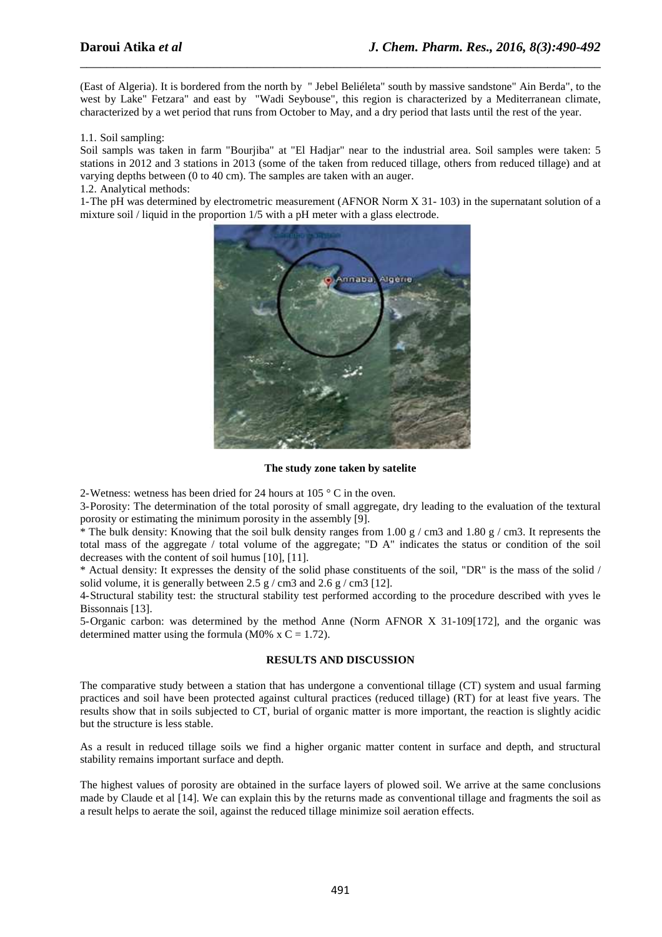(East of Algeria). It is bordered from the north by " Jebel Beliéleta" south by massive sandstone" Ain Berda", to the west by Lake" Fetzara" and east by "Wadi Seybouse", this region is characterized by a Mediterranean climate, characterized by a wet period that runs from October to May, and a dry period that lasts until the rest of the year.

\_\_\_\_\_\_\_\_\_\_\_\_\_\_\_\_\_\_\_\_\_\_\_\_\_\_\_\_\_\_\_\_\_\_\_\_\_\_\_\_\_\_\_\_\_\_\_\_\_\_\_\_\_\_\_\_\_\_\_\_\_\_\_\_\_\_\_\_\_\_\_\_\_\_\_\_\_\_

#### 1.1. Soil sampling:

Soil sampls was taken in farm "Bourjiba" at "El Hadjar" near to the industrial area. Soil samples were taken: 5 stations in 2012 and 3 stations in 2013 (some of the taken from reduced tillage, others from reduced tillage) and at varying depths between (0 to 40 cm). The samples are taken with an auger.

#### 1.2. Analytical methods:

1-The pH was determined by electrometric measurement (AFNOR Norm X 31- 103) in the supernatant solution of a mixture soil / liquid in the proportion 1/5 with a pH meter with a glass electrode.



#### **The study zone taken by satelite**

2-Wetness: wetness has been dried for 24 hours at 105 ° C in the oven.

3-Porosity: The determination of the total porosity of small aggregate, dry leading to the evaluation of the textural porosity or estimating the minimum porosity in the assembly [9].

\* The bulk density: Knowing that the soil bulk density ranges from 1.00 g / cm3 and 1.80 g / cm3. It represents the total mass of the aggregate / total volume of the aggregate; "D A" indicates the status or condition of the soil decreases with the content of soil humus [10], [11].

\* Actual density: It expresses the density of the solid phase constituents of the soil, "DR" is the mass of the solid / solid volume, it is generally between  $2.5 \text{ g}$  / cm3 and  $2.6 \text{ g}$  / cm3 [12].

4-Structural stability test: the structural stability test performed according to the procedure described with yves le Bissonnais [13].

5-Organic carbon: was determined by the method Anne (Norm AFNOR X 31-109[172], and the organic was determined matter using the formula (M0% x C = 1.72).

#### **RESULTS AND DISCUSSION**

The comparative study between a station that has undergone a conventional tillage (CT) system and usual farming practices and soil have been protected against cultural practices (reduced tillage) (RT) for at least five years. The results show that in soils subjected to CT, burial of organic matter is more important, the reaction is slightly acidic but the structure is less stable.

As a result in reduced tillage soils we find a higher organic matter content in surface and depth, and structural stability remains important surface and depth.

The highest values of porosity are obtained in the surface layers of plowed soil. We arrive at the same conclusions made by Claude et al [14]. We can explain this by the returns made as conventional tillage and fragments the soil as a result helps to aerate the soil, against the reduced tillage minimize soil aeration effects.